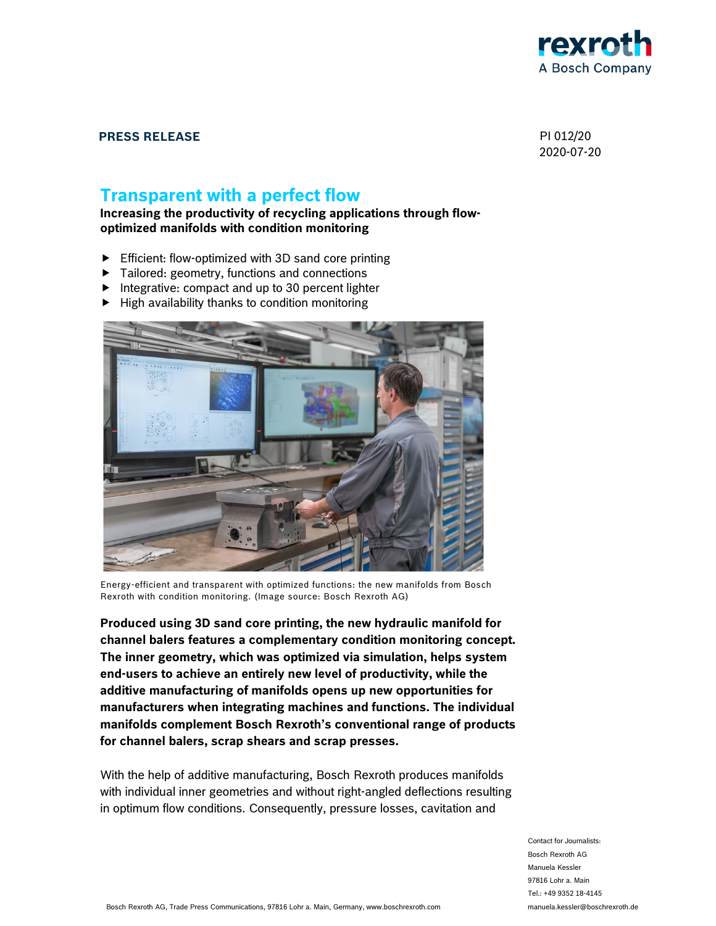

## **PRESS RELEASE** PI 012/20

2020-07-20

# **Transparent with a perfect flow**

**Increasing the productivity of recycling applications through flowoptimized manifolds with condition monitoring** 

- Efficient: flow-optimized with 3D sand core printing
- Tailored: geometry, functions and connections
- Integrative: compact and up to 30 percent lighter
- High availability thanks to condition monitoring



Energy-efficient and transparent with optimized functions: the new manifolds from Bosch Rexroth with condition monitoring. (Image source: Bosch Rexroth AG)

**Produced using 3D sand core printing, the new hydraulic manifold for channel balers features a complementary condition monitoring concept. The inner geometry, which was optimized via simulation, helps system end-users to achieve an entirely new level of productivity, while the additive manufacturing of manifolds opens up new opportunities for manufacturers when integrating machines and functions. The individual manifolds complement Bosch Rexroth's conventional range of products for channel balers, scrap shears and scrap presses.** 

With the help of additive manufacturing, Bosch Rexroth produces manifolds with individual inner geometries and without right-angled deflections resulting in optimum flow conditions. Consequently, pressure losses, cavitation and

> Contact for Journalists: Bosch Rexroth AG Manuela Kessler 97816 Lohr a. Main Tel.: +49 9352 18-4145 manuela.kessler@boschrexroth.de

Bosch Rexroth AG, Trade Press Communications, 97816 Lohr a. Main, Germany, www.boschrexroth.com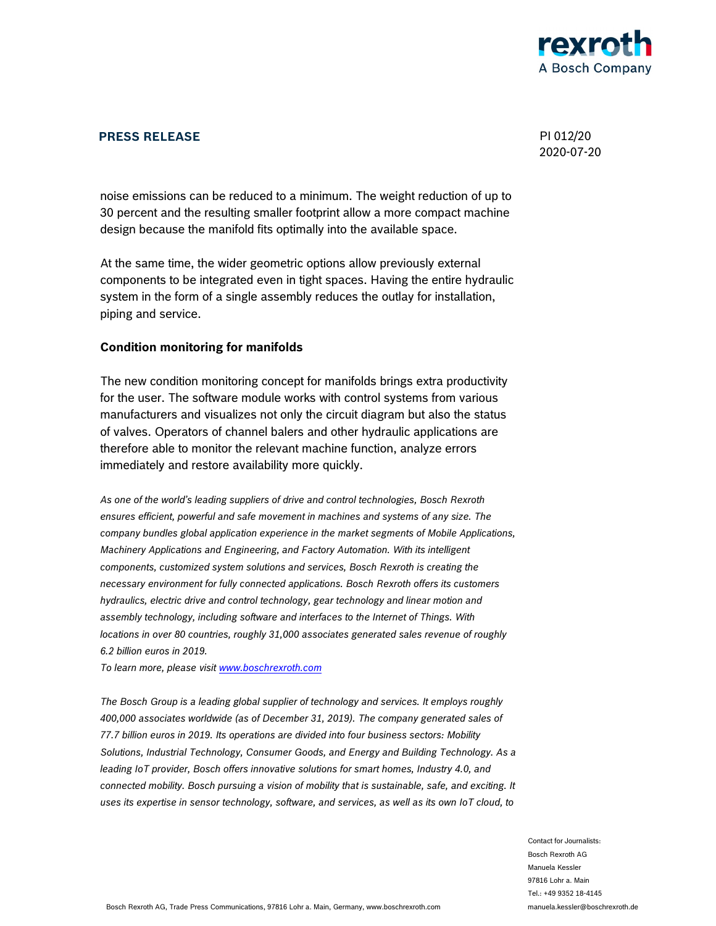

### **PRESS RELEASE** PI 012/20

2020-07-20

noise emissions can be reduced to a minimum. The weight reduction of up to 30 percent and the resulting smaller footprint allow a more compact machine design because the manifold fits optimally into the available space.

At the same time, the wider geometric options allow previously external components to be integrated even in tight spaces. Having the entire hydraulic system in the form of a single assembly reduces the outlay for installation, piping and service.

#### **Condition monitoring for manifolds**

The new condition monitoring concept for manifolds brings extra productivity for the user. The software module works with control systems from various manufacturers and visualizes not only the circuit diagram but also the status of valves. Operators of channel balers and other hydraulic applications are therefore able to monitor the relevant machine function, analyze errors immediately and restore availability more quickly.

*As one of the world's leading suppliers of drive and control technologies, Bosch Rexroth ensures efficient, powerful and safe movement in machines and systems of any size. The company bundles global application experience in the market segments of Mobile Applications, Machinery Applications and Engineering, and Factory Automation. With its intelligent components, customized system solutions and services, Bosch Rexroth is creating the necessary environment for fully connected applications. Bosch Rexroth offers its customers hydraulics, electric drive and control technology, gear technology and linear motion and assembly technology, including software and interfaces to the Internet of Things. With locations in over 80 countries, roughly 31,000 associates generated sales revenue of roughly 6.2 billion euros in 2019.* 

*To learn more, please visit www.boschrexroth.com*

*The Bosch Group is a leading global supplier of technology and services. It employs roughly 400,000 associates worldwide (as of December 31, 2019). The company generated sales of 77.7 billion euros in 2019. Its operations are divided into four business sectors: Mobility Solutions, Industrial Technology, Consumer Goods, and Energy and Building Technology. As a leading IoT provider, Bosch offers innovative solutions for smart homes, Industry 4.0, and connected mobility. Bosch pursuing a vision of mobility that is sustainable, safe, and exciting. It uses its expertise in sensor technology, software, and services, as well as its own IoT cloud, to* 

> Contact for Journalists: Bosch Rexroth AG Manuela Kessler 97816 Lohr a. Main Tel.: +49 9352 18-4145 manuela.kessler@boschrexroth.de